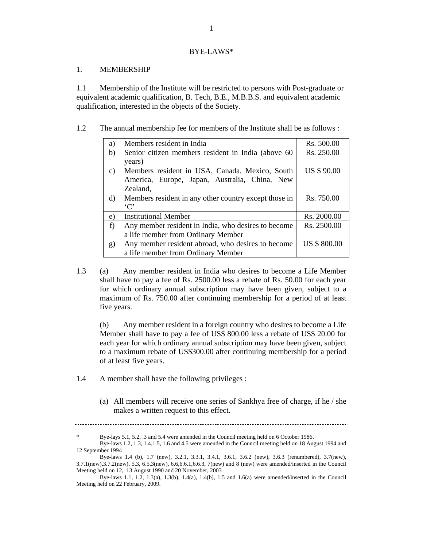#### BYE-LAWS\*

#### 1. MEMBERSHIP

1.1 Membership of the Institute will be restricted to persons with Post-graduate or equivalent academic qualification, B. Tech, B.E., M.B.B.S. and equivalent academic qualification, interested in the objects of the Society.

1.2 The annual membership fee for members of the Institute shall be as follows :

| a)              | Members resident in India                             | Rs. 500.00          |
|-----------------|-------------------------------------------------------|---------------------|
| b)              | Senior citizen members resident in India (above 60    | Rs. 250.00          |
|                 | years)                                                |                     |
| $\mathcal{C}$ ) | Members resident in USA, Canada, Mexico, South        | US \$90.00          |
|                 | America, Europe, Japan, Australia, China, New         |                     |
|                 | Zealand,                                              |                     |
| $\rm d$         | Members resident in any other country except those in | Rs. 750.00          |
|                 | $\cdot$ C'                                            |                     |
| e)              | <b>Institutional Member</b>                           | Rs. 2000.00         |
| f)              | Any member resident in India, who desires to become   | Rs. 2500.00         |
|                 | a life member from Ordinary Member                    |                     |
| g)              | Any member resident abroad, who desires to become     | <b>US \$ 800.00</b> |
|                 | a life member from Ordinary Member                    |                     |

1.3 (a) Any member resident in India who desires to become a Life Member shall have to pay a fee of Rs. 2500.00 less a rebate of Rs. 50.00 for each year for which ordinary annual subscription may have been given, subject to a maximum of Rs. 750.00 after continuing membership for a period of at least five years.

(b) Any member resident in a foreign country who desires to become a Life Member shall have to pay a fee of US\$ 800.00 less a rebate of US\$ 20.00 for each year for which ordinary annual subscription may have been given, subject to a maximum rebate of US\$300.00 after continuing membership for a period of at least five years.

- 1.4 A member shall have the following privileges :
	- (a) All members will receive one series of Sankhya free of charge, if he / she makes a written request to this effect.

Bye-lays 5.1, 5.2, .3 and 5.4 were amended in the Council meeting held on 6 October 1986.

Bye-laws 1.2, 1.3, 1.4,1.5, 1.6 and 4.5 were amended in the Council meeting held on 18 August 1994 and 12 September 1994

Bye-laws 1.4 (b), 1.7 (new), 3.2.1, 3.3.1, 3.4.1, 3.6.1, 3.6.2 (new), 3.6.3 (renumbered), 3.7(new), 3.7.1(new),3.7.2(new), 5.3, 6.5.3(new), 6.6,6.6.1,6.6.3, 7(new) and 8 (new) were amended/inserted in the Council Meeting held on 12, 13 August 1990 and 20 November, 2003

Bye-laws 1.1, 1.2, 1.3(a), 1.3(b), 1.4(a), 1.4(b), 1.5 and 1.6(a) were amended/inserted in the Council Meeting held on 22 February, 2009.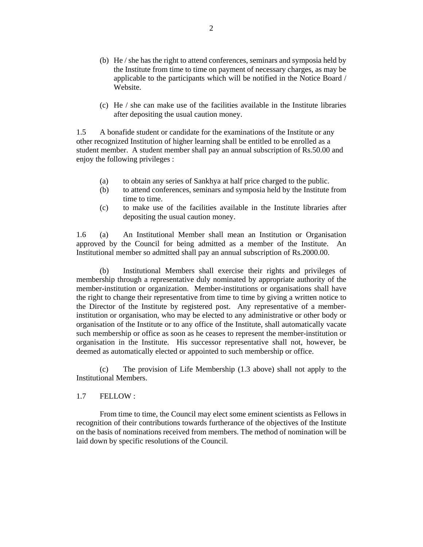- (b) He / she has the right to attend conferences, seminars and symposia held by the Institute from time to time on payment of necessary charges, as may be applicable to the participants which will be notified in the Notice Board / Website.
- (c) He / she can make use of the facilities available in the Institute libraries after depositing the usual caution money.

1.5 A bonafide student or candidate for the examinations of the Institute or any other recognized Institution of higher learning shall be entitled to be enrolled as a student member. A student member shall pay an annual subscription of Rs.50.00 and enjoy the following privileges :

- (a) to obtain any series of Sankhya at half price charged to the public.
- (b) to attend conferences, seminars and symposia held by the Institute from time to time.
- (c) to make use of the facilities available in the Institute libraries after depositing the usual caution money.

1.6 (a) An Institutional Member shall mean an Institution or Organisation approved by the Council for being admitted as a member of the Institute. An Institutional member so admitted shall pay an annual subscription of Rs.2000.00.

 (b) Institutional Members shall exercise their rights and privileges of membership through a representative duly nominated by appropriate authority of the member-institution or organization. Member-institutions or organisations shall have the right to change their representative from time to time by giving a written notice to the Director of the Institute by registered post. Any representative of a memberinstitution or organisation, who may be elected to any administrative or other body or organisation of the Institute or to any office of the Institute, shall automatically vacate such membership or office as soon as he ceases to represent the member-institution or organisation in the Institute. His successor representative shall not, however, be deemed as automatically elected or appointed to such membership or office.

 (c) The provision of Life Membership (1.3 above) shall not apply to the Institutional Members.

1.7 FELLOW :

 From time to time, the Council may elect some eminent scientists as Fellows in recognition of their contributions towards furtherance of the objectives of the Institute on the basis of nominations received from members. The method of nomination will be laid down by specific resolutions of the Council.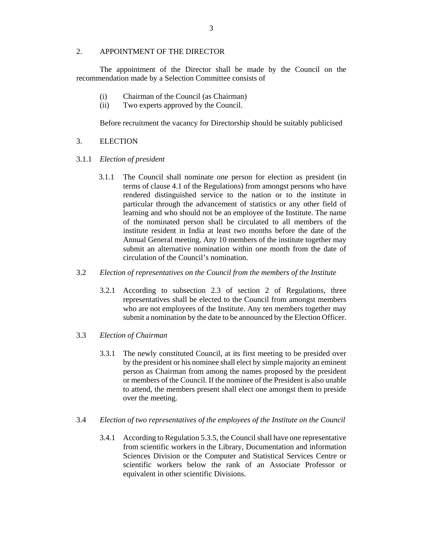### 2. APPOINTMENT OF THE DIRECTOR

 The appointment of the Director shall be made by the Council on the recommendation made by a Selection Committee consists of

- (i) Chairman of the Council (as Chairman)
- (ii) Two experts approved by the Council.

Before recruitment the vacancy for Directorship should be suitably publicised

- 3. ELECTION
- 3.1.1 *Election of president* 
	- 3.1.1 The Council shall nominate one person for election as president (in terms of clause 4.1 of the Regulations) from amongst persons who have rendered distinguished service to the nation or to the institute in particular through the advancement of statistics or any other field of learning and who should not be an employee of the Institute. The name of the nominated person shall be circulated to all members of the institute resident in India at least two months before the date of the Annual General meeting. Any 10 members of the institute together may submit an alternative nomination within one month from the date of circulation of the Council's nomination.
- 3.2 *Election of representatives on the Council from the members of the Institute*
	- 3.2.1 According to subsection 2.3 of section 2 of Regulations, three representatives shall be elected to the Council from amongst members who are not employees of the Institute. Any ten members together may submit a nomination by the date to be announced by the Election Officer.
- 3.3 *Election of Chairman* 
	- 3.3.1 The newly constituted Council, at its first meeting to be presided over by the president or his nominee shall elect by simple majority an eminent person as Chairman from among the names proposed by the president or members of the Council. If the nominee of the President is also unable to attend, the members present shall elect one amongst them to preside over the meeting.
- 3.4 *Election of two representatives of the employees of the Institute on the Council* 
	- 3.4.1 According to Regulation 5.3.5, the Council shall have one representative from scientific workers in the Library, Documentation and information Sciences Division or the Computer and Statistical Services Centre or scientific workers below the rank of an Associate Professor or equivalent in other scientific Divisions.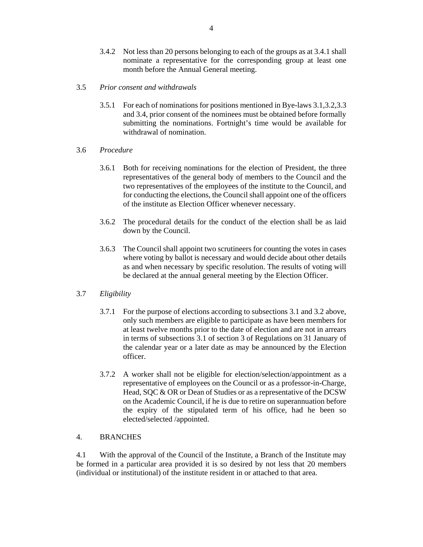- 3.4.2 Not less than 20 persons belonging to each of the groups as at 3.4.1 shall nominate a representative for the corresponding group at least one month before the Annual General meeting.
- 3.5 *Prior consent and withdrawals* 
	- 3.5.1 For each of nominations for positions mentioned in Bye-laws 3.1,3.2,3.3 and 3.4, prior consent of the nominees must be obtained before formally submitting the nominations. Fortnight's time would be available for withdrawal of nomination.
- 3.6 *Procedure* 
	- 3.6.1 Both for receiving nominations for the election of President, the three representatives of the general body of members to the Council and the two representatives of the employees of the institute to the Council, and for conducting the elections, the Council shall appoint one of the officers of the institute as Election Officer whenever necessary.
	- 3.6.2 The procedural details for the conduct of the election shall be as laid down by the Council.
	- 3.6.3 The Council shall appoint two scrutineers for counting the votes in cases where voting by ballot is necessary and would decide about other details as and when necessary by specific resolution. The results of voting will be declared at the annual general meeting by the Election Officer.

### 3.7 *Eligibility*

- 3.7.1 For the purpose of elections according to subsections 3.1 and 3.2 above, only such members are eligible to participate as have been members for at least twelve months prior to the date of election and are not in arrears in terms of subsections 3.1 of section 3 of Regulations on 31 January of the calendar year or a later date as may be announced by the Election officer.
- 3.7.2 A worker shall not be eligible for election/selection/appointment as a representative of employees on the Council or as a professor-in-Charge, Head, SQC & OR or Dean of Studies or as a representative of the DCSW on the Academic Council, if he is due to retire on superannuation before the expiry of the stipulated term of his office, had he been so elected/selected /appointed.

## 4. BRANCHES

4.1 With the approval of the Council of the Institute, a Branch of the Institute may be formed in a particular area provided it is so desired by not less that 20 members (individual or institutional) of the institute resident in or attached to that area.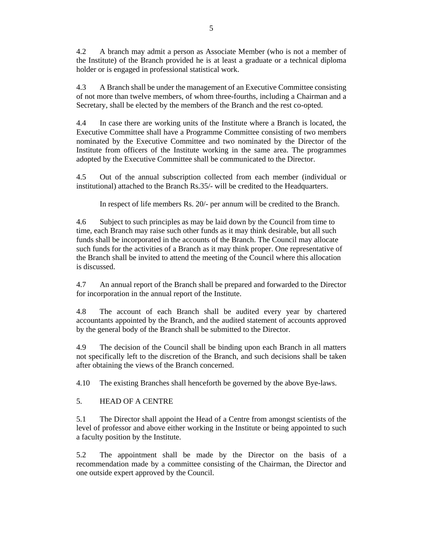4.2 A branch may admit a person as Associate Member (who is not a member of the Institute) of the Branch provided he is at least a graduate or a technical diploma holder or is engaged in professional statistical work.

4.3 A Branch shall be under the management of an Executive Committee consisting of not more than twelve members, of whom three-fourths, including a Chairman and a Secretary, shall be elected by the members of the Branch and the rest co-opted.

4.4 In case there are working units of the Institute where a Branch is located, the Executive Committee shall have a Programme Committee consisting of two members nominated by the Executive Committee and two nominated by the Director of the Institute from officers of the Institute working in the same area. The programmes adopted by the Executive Committee shall be communicated to the Director.

4.5 Out of the annual subscription collected from each member (individual or institutional) attached to the Branch Rs.35/- will be credited to the Headquarters.

In respect of life members Rs. 20/- per annum will be credited to the Branch.

4.6 Subject to such principles as may be laid down by the Council from time to time, each Branch may raise such other funds as it may think desirable, but all such funds shall be incorporated in the accounts of the Branch. The Council may allocate such funds for the activities of a Branch as it may think proper. One representative of the Branch shall be invited to attend the meeting of the Council where this allocation is discussed.

4.7 An annual report of the Branch shall be prepared and forwarded to the Director for incorporation in the annual report of the Institute.

4.8 The account of each Branch shall be audited every year by chartered accountants appointed by the Branch, and the audited statement of accounts approved by the general body of the Branch shall be submitted to the Director.

4.9 The decision of the Council shall be binding upon each Branch in all matters not specifically left to the discretion of the Branch, and such decisions shall be taken after obtaining the views of the Branch concerned.

4.10 The existing Branches shall henceforth be governed by the above Bye-laws.

5. HEAD OF A CENTRE

5.1 The Director shall appoint the Head of a Centre from amongst scientists of the level of professor and above either working in the Institute or being appointed to such a faculty position by the Institute.

5.2 The appointment shall be made by the Director on the basis of a recommendation made by a committee consisting of the Chairman, the Director and one outside expert approved by the Council.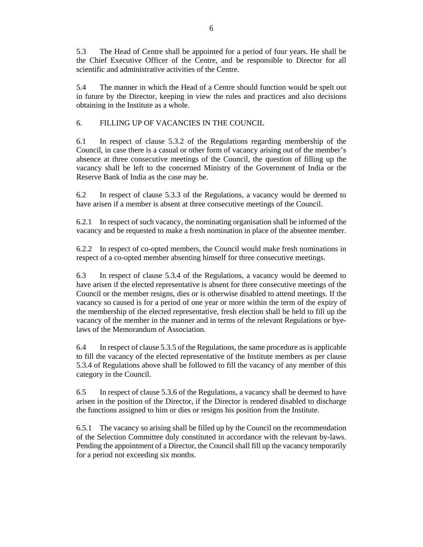5.3 The Head of Centre shall be appointed for a period of four years. He shall be the Chief Executive Officer of the Centre, and be responsible to Director for all scientific and administrative activities of the Centre.

5.4 The manner in which the Head of a Centre should function would be spelt out in future by the Director, keeping in view the rules and practices and also decisions obtaining in the Institute as a whole.

6. FILLING UP OF VACANCIES IN THE COUNCIL

6.1 In respect of clause 5.3.2 of the Regulations regarding membership of the Council, in case there is a casual or other form of vacancy arising out of the member's absence at three consecutive meetings of the Council, the question of filling up the vacancy shall be left to the concerned Ministry of the Government of India or the Reserve Bank of India as the case may be.

6.2 In respect of clause 5.3.3 of the Regulations, a vacancy would be deemed to have arisen if a member is absent at three consecutive meetings of the Council.

6.2.1 In respect of such vacancy, the nominating organisation shall be informed of the vacancy and be requested to make a fresh nomination in place of the absentee member.

6.2.2 In respect of co-opted members, the Council would make fresh nominations in respect of a co-opted member absenting himself for three consecutive meetings.

6.3 In respect of clause 5.3.4 of the Regulations, a vacancy would be deemed to have arisen if the elected representative is absent for three consecutive meetings of the Council or the member resigns, dies or is otherwise disabled to attend meetings. If the vacancy so caused is for a period of one year or more within the term of the expiry of the membership of the elected representative, fresh election shall be held to fill up the vacancy of the member in the manner and in terms of the relevant Regulations or byelaws of the Memorandum of Association.

6.4 In respect of clause 5.3.5 of the Regulations, the same procedure as is applicable to fill the vacancy of the elected representative of the Institute members as per clause 5.3.4 of Regulations above shall be followed to fill the vacancy of any member of this category in the Council.

6.5 In respect of clause 5.3.6 of the Regulations, a vacancy shall be deemed to have arisen in the position of the Director, if the Director is rendered disabled to discharge the functions assigned to him or dies or resigns his position from the Institute.

6.5.1 The vacancy so arising shall be filled up by the Council on the recommendation of the Selection Committee duly constituted in accordance with the relevant by-laws. Pending the appointment of a Director, the Council shall fill up the vacancy temporarily for a period not exceeding six months.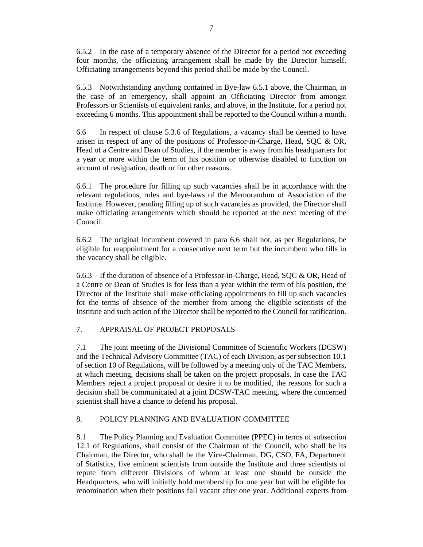6.5.2 In the case of a temporary absence of the Director for a period not exceeding four months, the officiating arrangement shall be made by the Director himself. Officiating arrangements beyond this period shall be made by the Council.

6.5.3 Notwithstanding anything contained in Bye-law 6.5.1 above, the Chairman, in the case of an emergency, shall appoint an Officiating Director from amongst Professors or Scientists of equivalent ranks, and above, in the Institute, for a period not exceeding 6 months. This appointment shall be reported to the Council within a month.

6.6 In respect of clause 5.3.6 of Regulations, a vacancy shall be deemed to have arisen in respect of any of the positions of Professor-in-Charge, Head, SQC & OR, Head of a Centre and Dean of Studies, if the member is away from his headquarters for a year or more within the term of his position or otherwise disabled to function on account of resignation, death or for other reasons.

6.6.1 The procedure for filling up such vacancies shall be in accordance with the relevant regulations, rules and bye-laws of the Memorandum of Association of the Institute. However, pending filling up of such vacancies as provided, the Director shall make officiating arrangements which should be reported at the next meeting of the Council.

6.6.2 The original incumbent covered in para 6.6 shall not, as per Regulations, be eligible for reappointment for a consecutive next term but the incumbent who fills in the vacancy shall be eligible.

6.6.3 If the duration of absence of a Professor-in-Charge, Head, SQC & OR, Head of a Centre or Dean of Studies is for less than a year within the term of his position, the Director of the Institute shall make officiating appointments to fill up such vacancies for the terms of absence of the member from among the eligible scientists of the Institute and such action of the Director shall be reported to the Council for ratification.

# 7. APPRAISAL OF PROJECT PROPOSALS

7.1 The joint meeting of the Divisional Committee of Scientific Workers (DCSW) and the Technical Advisory Committee (TAC) of each Division, as per subsection 10.1 of section 10 of Regulations, will be followed by a meeting only of the TAC Members, at which meeting, decisions shall be taken on the project proposals. In case the TAC Members reject a project proposal or desire it to be modified, the reasons for such a decision shall be communicated at a joint DCSW-TAC meeting, where the concerned scientist shall have a chance to defend his proposal.

# 8. POLICY PLANNING AND EVALUATION COMMITTEE

8.1 The Policy Planning and Evaluation Committee (PPEC) in terms of subsection 12.1 of Regulations, shall consist of the Chairman of the Council, who shall be its Chairman, the Director, who shall be the Vice-Chairman, DG, CSO, FA, Department of Statistics, five eminent scientists from outside the Institute and three scientists of repute from different Divisions of whom at least one should be outside the Headquarters, who will initially hold membership for one year but will be eligible for renomination when their positions fall vacant after one year. Additional experts from